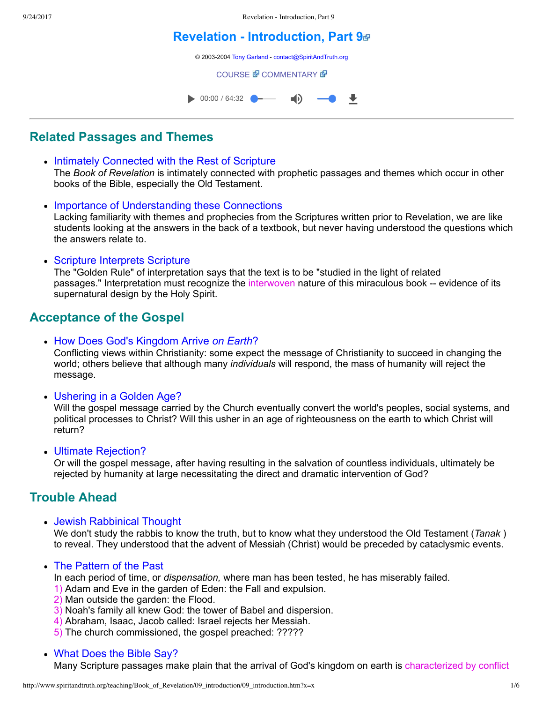## **[Revelation Introduction, Part 9](http://www.spiritandtruth.org/teaching/Book_of_Revelation/09_introduction/index.htm)**

© 2003-2004 [Tony Garland](http://www.spiritandtruth.org/teaching/teachers/tony_garland/bio.htm) - [contact@SpiritAndTruth.org](mailto:contact@SpiritAndTruth.org?subject=ST-MAIL:%20Revelation%20-%20Introduction,%20Part%209)

**[COURSE](http://www.spiritandtruth.org/teaching/Book_of_Revelation/09_introduction/index.htm) & [COMMENTARY](http://www.spiritandtruth.org/teaching/Book_of_Revelation/commentary/htm/index.html?Introduction) &** 



## **Related Passages and Themes**

- Intimately Connected with the Rest of Scripture The *Book of Revelation* is intimately connected with prophetic passages and themes which occur in other books of the Bible, especially the Old Testament.
- Importance of Understanding these Connections Lacking familiarity with themes and prophecies from the Scriptures written prior to Revelation, we are like students looking at the answers in the back of a textbook, but never having understood the questions which the answers relate to.
- Scripture Interprets Scripture The "Golden Rule" of interpretation says that the text is to be "studied in the light of related passages." Interpretation must recognize the interwoven nature of this miraculous book -- evidence of its supernatural design by the Holy Spirit.

## **Acceptance of the Gospel**

How Does God's Kingdom Arrive *on Earth*?

Conflicting views within Christianity: some expect the message of Christianity to succeed in changing the world; others believe that although many *individuals* will respond, the mass of humanity will reject the message.

Ushering in a Golden Age?

Will the gospel message carried by the Church eventually convert the world's peoples, social systems, and political processes to Christ? Will this usher in an age of righteousness on the earth to which Christ will return?

Ultimate Rejection?

Or will the gospel message, after having resulting in the salvation of countless individuals, ultimately be rejected by humanity at large necessitating the direct and dramatic intervention of God?

## **Trouble Ahead**

Jewish Rabbinical Thought

We don't study the rabbis to know the truth, but to know what they understood the Old Testament (*Tanak* ) to reveal. They understood that the advent of Messiah (Christ) would be preceded by cataclysmic events.

• The Pattern of the Past

In each period of time, or *dispensation,* where man has been tested, he has miserably failed.

- 1) Adam and Eve in the garden of Eden: the Fall and expulsion.
- 2) Man outside the garden: the Flood.
- 3) Noah's family all knew God: the tower of Babel and dispersion.
- 4) Abraham, Isaac, Jacob called: Israel rejects her Messiah.
- 5) The church commissioned, the gospel preached: ?????

## What Does the Bible Say?

Many Scripture passages make plain that the arrival of God's kingdom on earth is characterized by conflict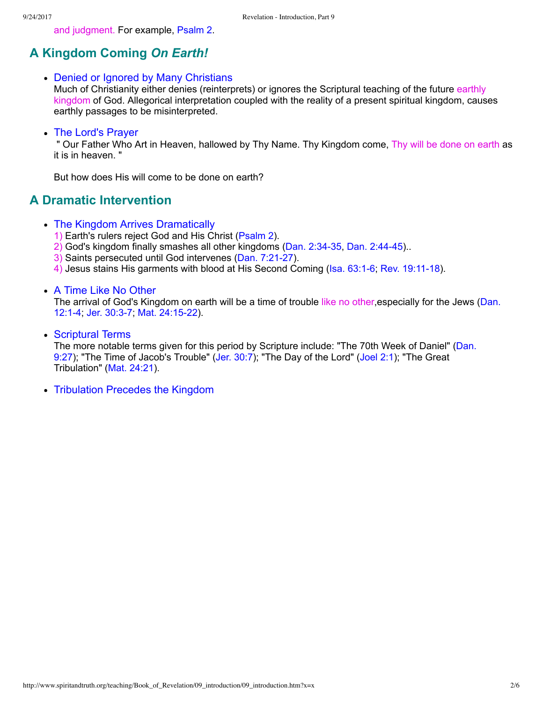and judgment. For example, [Psalm 2](http://www.spiritandtruth.org/bibles/nasb/b19c002.htm#Ps._C2V1).

# **A Kingdom Coming** *On Earth!*

### • Denied or Ignored by Many Christians

Much of Christianity either denies (reinterprets) or ignores the Scriptural teaching of the future earthly kingdom of God. Allegorical interpretation coupled with the reality of a present spiritual kingdom, causes earthly passages to be misinterpreted.

### • The Lord's Prayer

 " Our Father Who Art in Heaven, hallowed by Thy Name. Thy Kingdom come, Thy will be done on earth as it is in heaven. "

But how does His will come to be done on earth?

## **A Dramatic Intervention**

- The Kingdom Arrives Dramatically
	- 1) Earth's rulers reject God and His Christ [\(Psalm 2\)](http://www.spiritandtruth.org/bibles/nasb/b19c002.htm#Ps._C2V1).
	- 2) God's kingdom finally smashes all other kingdoms (Dan. 2:34-35, Dan. 2:44-45)...
	- 3) Saints persecuted until God intervenes (Dan. 7:21-27).
	- 4) Jesus stains His garments with blood at His Second Coming (Isa. 63:1-6; Rev. 19:11-18).

### A Time Like No Other

The arrival of God's Kingdom on earth will be a time of trouble like no other, especially for the Jews (Dan. 12:1-4; Jer. 30:3-7; Mat. 24:15-22).

• Scriptural Terms

[The more notable terms given for this period by Scripture include: "The 70th Week of Daniel" \(Dan.](http://www.spiritandtruth.org/bibles/nasb/b27c009.htm#Dan._C9V27) 9:27); "The Time of Jacob's Trouble" ([Jer. 30:7](http://www.spiritandtruth.org/bibles/nasb/b24c030.htm#Jer._C30V7)); "The Day of the Lord" ([Joel 2:1](http://www.spiritandtruth.org/bibles/nasb/b29c002.htm#Joel_C2V1)); "The Great Tribulation" ([Mat. 24:21](http://www.spiritandtruth.org/bibles/nasb/b40c024.htm#Mat._C24V21)).

Tribulation Precedes the Kingdom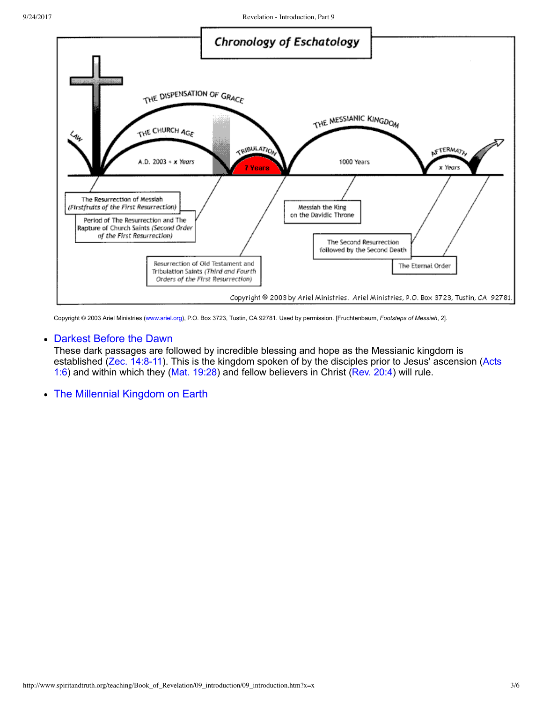

Copyright © 2003 Ariel Ministries ([www.ariel.org](http://www.ariel.org/)), P.O. Box 3723, Tustin, CA 92781. Used by permission. [Fruchtenbaum, *Footsteps of Messiah*, 2].

#### Darkest Before the Dawn

These dark passages are followed by incredible blessing and hope as the Messianic kingdom is established (Zec. 14:8-11). This is the kingdom spoken of by the disciples prior to Jesus' ascension (Acts 1:6) and within which they [\(Mat. 19:28](http://www.spiritandtruth.org/bibles/nasb/b40c019.htm#Mat._C19V28)) and fellow believers in Christ [\(Rev. 20:4\)](http://www.spiritandtruth.org/bibles/nasb/b66c020.htm#Rev._C20V4) will rule.

The Millennial Kingdom on Earth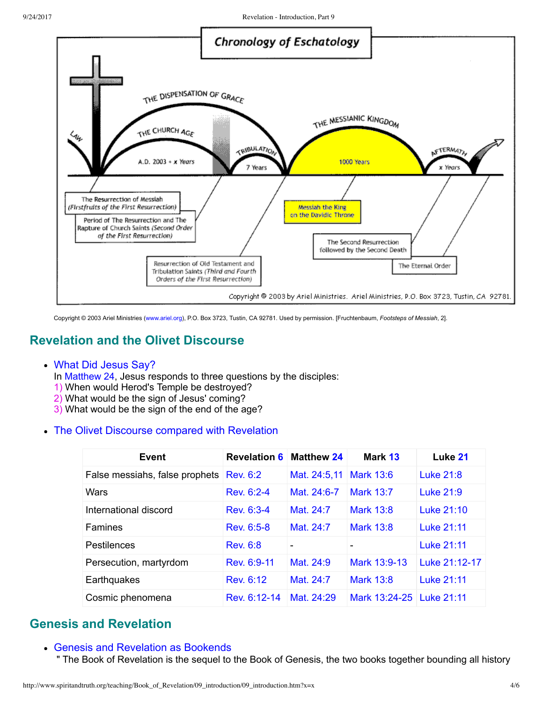

Copyright © 2003 Ariel Ministries ([www.ariel.org](http://www.ariel.org/)), P.O. Box 3723, Tustin, CA 92781. Used by permission. [Fruchtenbaum, *Footsteps of Messiah*, 2].

## **Revelation and the Olivet Discourse**

#### What Did Jesus Say?

In [Matthew 24](http://www.spiritandtruth.org/bibles/nasb/b40c024.htm#Mat._C24V1), Jesus responds to three questions by the disciples:

- 1) When would Herod's Temple be destroyed?
- 2) What would be the sign of Jesus' coming?
- 3) What would be the sign of the end of the age?

### The Olivet Discourse compared with Revelation

| Event                          | <b>Revelation 6</b> | <b>Matthew 24</b> | Mark 13                  | Luke 21       |
|--------------------------------|---------------------|-------------------|--------------------------|---------------|
| False messiahs, false prophets | <b>Rev. 6:2</b>     | Mat. 24:5,11      | <b>Mark 13:6</b>         | Luke 21:8     |
| Wars                           | Rev. 6:2-4          | Mat. 24:6-7       | Mark 13:7                | Luke 21:9     |
| International discord          | Rev. 6:3-4          | Mat. 24:7         | <b>Mark 13:8</b>         | Luke 21:10    |
| Famines                        | Rev. 6:5-8          | Mat. 24:7         | <b>Mark 13:8</b>         | Luke 21:11    |
| Pestilences                    | <b>Rev. 6:8</b>     |                   |                          | Luke 21:11    |
| Persecution, martyrdom         | Rev. 6:9-11         | Mat. 24:9         | Mark 13:9-13             | Luke 21:12-17 |
| Earthquakes                    | Rev. 6:12           | Mat. 24:7         | <b>Mark 13:8</b>         | Luke 21:11    |
| Cosmic phenomena               | Rev. 6:12-14        | Mat. 24:29        | Mark 13:24-25 Luke 21:11 |               |

## **Genesis and Revelation**

### Genesis and Revelation as Bookends

" The Book of Revelation is the sequel to the Book of Genesis, the two books together bounding all history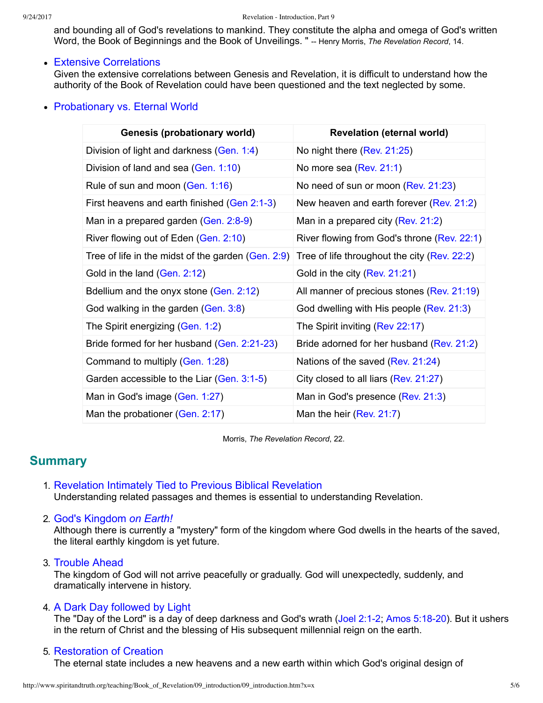and bounding all of God's revelations to mankind. They constitute the alpha and omega of God's written Word, the Book of Beginnings and the Book of Unveilings. " -- Henry Morris, *The Revelation Record*, 14.

### • Extensive Correlations

Given the extensive correlations between Genesis and Revelation, it is difficult to understand how the authority of the Book of Revelation could have been questioned and the text neglected by some.

## • Probationary vs. Eternal World

| <b>Genesis (probationary world)</b>                  | <b>Revelation (eternal world)</b>            |  |  |
|------------------------------------------------------|----------------------------------------------|--|--|
| Division of light and darkness (Gen. 1:4)            | No night there (Rev. 21:25)                  |  |  |
| Division of land and sea (Gen. 1:10)                 | No more sea (Rev. 21:1)                      |  |  |
| Rule of sun and moon (Gen. 1:16)                     | No need of sun or moon (Rev. 21:23)          |  |  |
| First heavens and earth finished (Gen 2:1-3)         | New heaven and earth forever (Rev. 21:2)     |  |  |
| Man in a prepared garden (Gen. 2:8-9)                | Man in a prepared city ( $Rev. 21:2$ )       |  |  |
| River flowing out of Eden (Gen. 2:10)                | River flowing from God's throne (Rev. 22:1)  |  |  |
| Tree of life in the midst of the garden $(Gen. 2.9)$ | Tree of life throughout the city (Rev. 22:2) |  |  |
| Gold in the land (Gen. 2:12)                         | Gold in the city (Rev. 21:21)                |  |  |
| Bdellium and the onyx stone (Gen. 2:12)              | All manner of precious stones (Rev. 21:19)   |  |  |
| God walking in the garden (Gen. 3:8)                 | God dwelling with His people (Rev. 21:3)     |  |  |
| The Spirit energizing (Gen. 1:2)                     | The Spirit inviting (Rev $22:17$ )           |  |  |
| Bride formed for her husband (Gen. 2:21-23)          | Bride adorned for her husband (Rev. 21:2)    |  |  |
| Command to multiply (Gen. 1:28)                      | Nations of the saved (Rev. 21:24)            |  |  |
| Garden accessible to the Liar (Gen. 3:1-5)           | City closed to all liars (Rev. 21:27)        |  |  |
| Man in God's image (Gen. 1:27)                       | Man in God's presence $(Rev. 21:3)$          |  |  |
| Man the probationer (Gen. 2:17)                      | Man the heir (Rev. $21:7$ )                  |  |  |

Morris, *The Revelation Record*, 22.

## **Summary**

1. Revelation Intimately Tied to Previous Biblical Revelation Understanding related passages and themes is essential to understanding Revelation.

### 2. God's Kingdom *on Earth!*

Although there is currently a "mystery" form of the kingdom where God dwells in the hearts of the saved, the literal earthly kingdom is yet future.

### 3. Trouble Ahead

The kingdom of God will not arrive peacefully or gradually. God will unexpectedly, suddenly, and dramatically intervene in history.

### 4. A Dark Day followed by Light

The "Day of the Lord" is a day of deep darkness and God's wrath (Joel 2:1-2; Amos 5:18-20). But it ushers in the return of Christ and the blessing of His subsequent millennial reign on the earth.

### 5. Restoration of Creation

The eternal state includes a new heavens and a new earth within which God's original design of